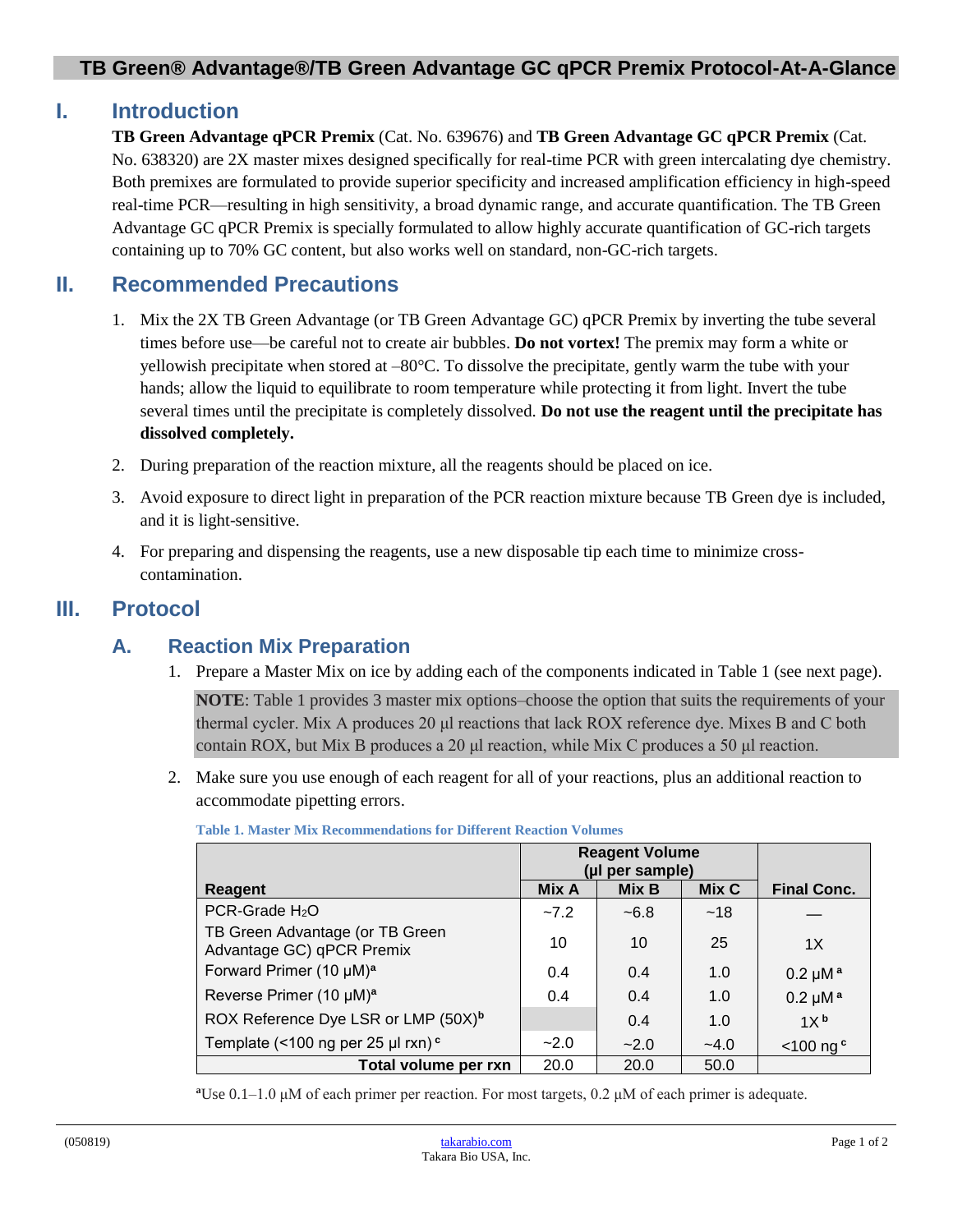## **TB Green® Advantage®/TB Green Advantage GC qPCR Premix Protocol-At-A-Glance**

# **I. Introduction**

**TB Green Advantage qPCR Premix** (Cat. No. 639676) and **TB Green Advantage GC qPCR Premix** (Cat. No. 638320) are 2X master mixes designed specifically for real-time PCR with green intercalating dye chemistry. Both premixes are formulated to provide superior specificity and increased amplification efficiency in high-speed real-time PCR—resulting in high sensitivity, a broad dynamic range, and accurate quantification. The TB Green Advantage GC qPCR Premix is specially formulated to allow highly accurate quantification of GC-rich targets containing up to 70% GC content, but also works well on standard, non-GC-rich targets.

# **II. Recommended Precautions**

- 1. Mix the 2X TB Green Advantage (or TB Green Advantage GC) qPCR Premix by inverting the tube several times before use—be careful not to create air bubbles. **Do not vortex!** The premix may form a white or yellowish precipitate when stored at –80°C. To dissolve the precipitate, gently warm the tube with your hands; allow the liquid to equilibrate to room temperature while protecting it from light. Invert the tube several times until the precipitate is completely dissolved. **Do not use the reagent until the precipitate has dissolved completely.**
- 2. During preparation of the reaction mixture, all the reagents should be placed on ice.
- 3. Avoid exposure to direct light in preparation of the PCR reaction mixture because TB Green dye is included, and it is light-sensitive.
- 4. For preparing and dispensing the reagents, use a new disposable tip each time to minimize crosscontamination.

# **III. Protocol**

## **A. Reaction Mix Preparation**

1. Prepare a Master Mix on ice by adding each of the components indicated in Table 1 (see next page).

**NOTE**: Table 1 provides 3 master mix options–choose the option that suits the requirements of your thermal cycler. Mix A produces 20 μl reactions that lack ROX reference dye. Mixes B and C both contain ROX, but Mix B produces a 20 μl reaction, while Mix C produces a 50 μl reaction.

2. Make sure you use enough of each reagent for all of your reactions, plus an additional reaction to accommodate pipetting errors.

|                                                              | <b>Reagent Volume</b> |        |        |                      |
|--------------------------------------------------------------|-----------------------|--------|--------|----------------------|
|                                                              | (µl per sample)       |        |        |                      |
| Reagent                                                      | Mix A                 | Mix B  | Mix C  | <b>Final Conc.</b>   |
| PCR-Grade H <sub>2</sub> O                                   | $-7.2$                | $-6.8$ | ~18    |                      |
| TB Green Advantage (or TB Green<br>Advantage GC) qPCR Premix | 10                    | 10     | 25     | 1X                   |
| Forward Primer (10 µM) <sup>a</sup>                          | 0.4                   | 0.4    | 1.0    | $0.2 \mu M^a$        |
| Reverse Primer (10 µM) <sup>a</sup>                          | 0.4                   | 0.4    | 1.0    | $0.2 \mu M^a$        |
| ROX Reference Dye LSR or LMP (50X) <sup>b</sup>              |                       | 0.4    | 1.0    | 1X <sup>b</sup>      |
| Template (<100 ng per 25 µl rxn) <sup>c</sup>                | $-2.0$                | $-2.0$ | $-4.0$ | $<$ 100 ng $\degree$ |
| Total volume per rxn                                         | 20.0                  | 20.0   | 50.0   |                      |

**Table 1. Master Mix Recommendations for Different Reaction Volumes**

**<sup>a</sup>**Use 0.1–1.0 μM of each primer per reaction. For most targets, 0.2 μM of each primer is adequate.